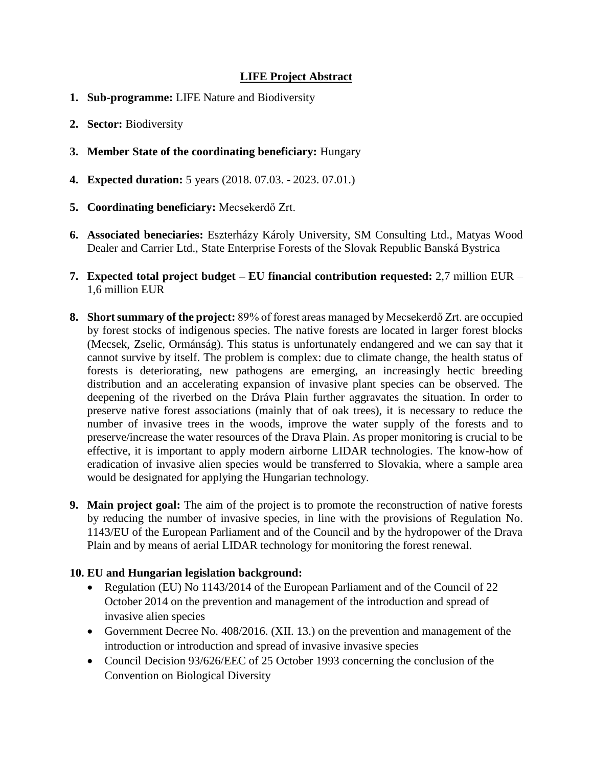## **LIFE Project Abstract**

- **1. Sub-programme:** LIFE Nature and Biodiversity
- **2. Sector:** Biodiversity
- **3. Member State of the coordinating beneficiary:** Hungary
- **4. Expected duration:** 5 years (2018. 07.03. 2023. 07.01.)
- **5. Coordinating beneficiary:** Mecsekerdő Zrt.
- **6. Associated beneciaries:** Eszterházy Károly University, SM Consulting Ltd., Matyas Wood Dealer and Carrier Ltd., State Enterprise Forests of the Slovak Republic Banská Bystrica
- **7. Expected total project budget – EU financial contribution requested:** 2,7 million EUR 1,6 million EUR
- **8. Short summary of the project:** 89% of forest areas managed by Mecsekerdő Zrt. are occupied by forest stocks of indigenous species. The native forests are located in larger forest blocks (Mecsek, Zselic, Ormánság). This status is unfortunately endangered and we can say that it cannot survive by itself. The problem is complex: due to climate change, the health status of forests is deteriorating, new pathogens are emerging, an increasingly hectic breeding distribution and an accelerating expansion of invasive plant species can be observed. The deepening of the riverbed on the Dráva Plain further aggravates the situation. In order to preserve native forest associations (mainly that of oak trees), it is necessary to reduce the number of invasive trees in the woods, improve the water supply of the forests and to preserve/increase the water resources of the Drava Plain. As proper monitoring is crucial to be effective, it is important to apply modern airborne LIDAR technologies. The know-how of eradication of invasive alien species would be transferred to Slovakia, where a sample area would be designated for applying the Hungarian technology.
- **9. Main project goal:** The aim of the project is to promote the reconstruction of native forests by reducing the number of invasive species, in line with the provisions of Regulation No. 1143/EU of the European Parliament and of the Council and by the hydropower of the Drava Plain and by means of aerial LIDAR technology for monitoring the forest renewal.

## **10. EU and Hungarian legislation background:**

- Regulation (EU) No 1143/2014 of the European Parliament and of the Council of 22 October 2014 on the prevention and management of the introduction and spread of invasive alien species
- Government Decree No. 408/2016. (XII. 13.) on the prevention and management of the introduction or introduction and spread of invasive invasive species
- Council Decision 93/626/EEC of 25 October 1993 concerning the conclusion of the Convention on Biological Diversity